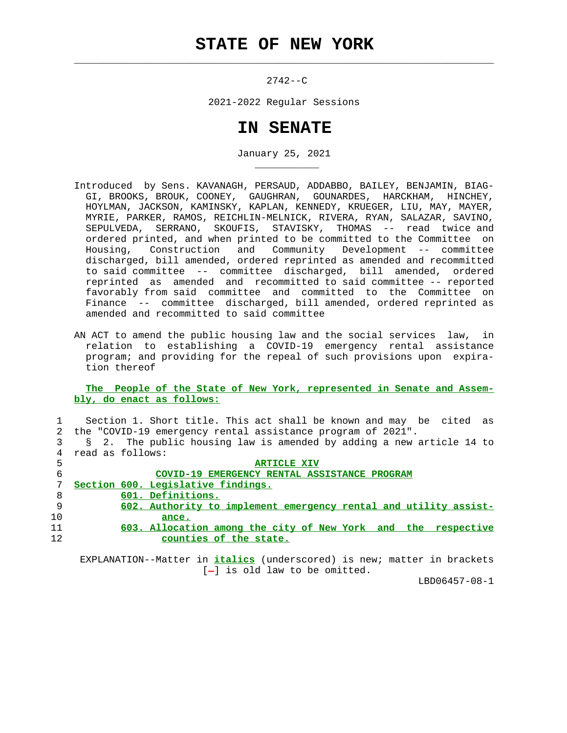$\mathcal{L}_\text{max} = \frac{1}{2} \sum_{i=1}^{n} \frac{1}{2} \sum_{i=1}^{n} \frac{1}{2} \sum_{i=1}^{n} \frac{1}{2} \sum_{i=1}^{n} \frac{1}{2} \sum_{i=1}^{n} \frac{1}{2} \sum_{i=1}^{n} \frac{1}{2} \sum_{i=1}^{n} \frac{1}{2} \sum_{i=1}^{n} \frac{1}{2} \sum_{i=1}^{n} \frac{1}{2} \sum_{i=1}^{n} \frac{1}{2} \sum_{i=1}^{n} \frac{1}{2} \sum_{i=1}^{n} \frac{1$ 

\_\_\_\_\_\_\_\_\_\_\_

 $2742 - C$ 

2021-2022 Regular Sessions

## **IN SENATE**

January 25, 2021

- Introduced by Sens. KAVANAGH, PERSAUD, ADDABBO, BAILEY, BENJAMIN, BIAG- GI, BROOKS, BROUK, COONEY, GAUGHRAN, GOUNARDES, HARCKHAM, HINCHEY, HOYLMAN, JACKSON, KAMINSKY, KAPLAN, KENNEDY, KRUEGER, LIU, MAY, MAYER, MYRIE, PARKER, RAMOS, REICHLIN-MELNICK, RIVERA, RYAN, SALAZAR, SAVINO, SEPULVEDA, SERRANO, SKOUFIS, STAVISKY, THOMAS -- read twice and ordered printed, and when printed to be committed to the Committee on Housing, Construction and Community Development -- committee discharged, bill amended, ordered reprinted as amended and recommitted to said committee -- committee discharged, bill amended, ordered reprinted as amended and recommitted to said committee -- reported favorably from said committee and committed to the Committee on Finance -- committee discharged, bill amended, ordered reprinted as amended and recommitted to said committee
- AN ACT to amend the public housing law and the social services law, in relation to establishing a COVID-19 emergency rental assistance program; and providing for the repeal of such provisions upon expira tion thereof

 **The People of the State of New York, represented in Senate and Assem bly, do enact as follows:**

 1 Section 1. Short title. This act shall be known and may be cited as 2 the "COVID-19 emergency rental assistance program of 2021". 3 § 2. The public housing law is amended by adding a new article 14 to 4 read as follows:

| 5  | <b>ARTICLE XIV</b>                                               |
|----|------------------------------------------------------------------|
| 6  | COVID-19 EMERGENCY RENTAL ASSISTANCE PROGRAM                     |
|    | Section 600. Legislative findings.                               |
| 8  | 601. Definitions.                                                |
| 9  | 602. Authority to implement emergency rental and utility assist- |
| 10 | ance.                                                            |
| 11 | 603. Allocation among the city of New York and the respective    |
| 12 | counties of the state.                                           |

 EXPLANATION--Matter in **italics** (underscored) is new; matter in brackets  $[-]$  is old law to be omitted.

LBD06457-08-1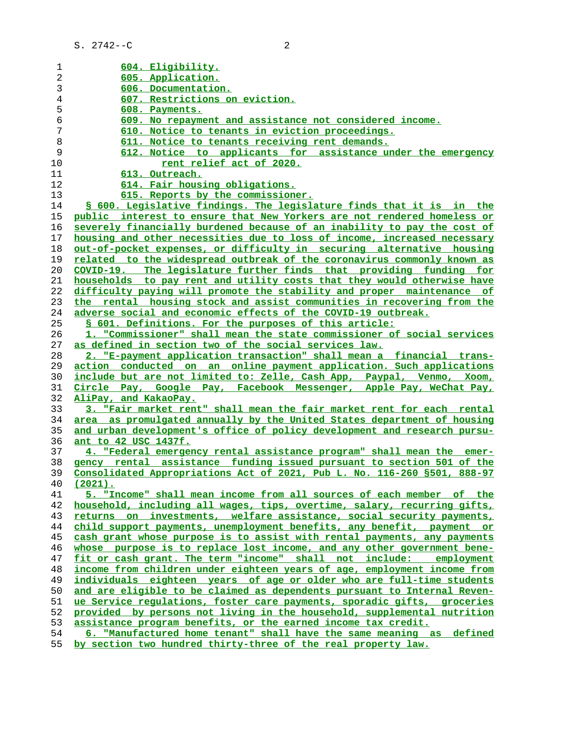| 1  | 604. Eligibility.                                                           |
|----|-----------------------------------------------------------------------------|
| 2  | 605. Application.                                                           |
| 3  | 606. Documentation.                                                         |
| 4  | 607. Restrictions on eviction.                                              |
| 5  | 608. Payments.                                                              |
| 6  | 609. No repayment and assistance not considered income.                     |
| 7  | 610. Notice to tenants in eviction proceedings.                             |
| 8  | 611. Notice to tenants receiving rent demands.                              |
| 9  | 612. Notice to applicants for assistance under the emergency                |
| 10 | rent relief act of 2020.                                                    |
| 11 | 613. Outreach.                                                              |
| 12 | 614. Fair housing obligations.                                              |
| 13 | 615. Reports by the commissioner.                                           |
| 14 | § 600. Legislative findings. The legislature finds that it is in the        |
| 15 | public interest to ensure that New Yorkers are not rendered homeless or     |
| 16 | severely financially burdened because of an inability to pay the cost of    |
| 17 | housing and other necessities due to loss of income, increased necessary    |
| 18 | out-of-pocket expenses, or difficulty in securing alternative housing       |
| 19 | related to the widespread outbreak of the coronavirus commonly known as     |
|    |                                                                             |
| 20 | COVID-19. The legislature further finds that providing funding for          |
| 21 | households to pay rent and utility costs that they would otherwise have     |
| 22 | difficulty paying will promote the stability and proper maintenance of      |
| 23 | the rental housing stock and assist communities in recovering from the      |
| 24 | <u>adverse social and economic effects of the COVID-19 outbreak.</u>        |
| 25 | § 601. Definitions. For the purposes of this article:                       |
| 26 | 1. "Commissioner" shall mean the state commissioner of social services      |
| 27 | as defined in section two of the social services law.                       |
| 28 | 2. "E-payment application transaction" shall mean a financial trans-        |
| 29 | <u>action conducted on an online-payment-application. Such-applications</u> |
| 30 | include but are not limited to: Zelle, Cash App, Paypal, Venmo, Xoom,       |
| 31 | Circle Pay, Google Pay, Facebook Messenger, Apple Pay, WeChat Pay,          |
| 32 | AliPay, and KakaoPay.                                                       |
| 33 | 3. "Fair market rent" shall mean the fair market rent for each rental       |
| 34 | area as promulgated annually by the United States department of housing     |
| 35 | and urban development's office of policy development and research pursu-    |
| 36 | ant to 42 USC 1437f.                                                        |
| 37 | 4. "Federal emergency rental assistance program" shall mean the<br>emer-    |
| 38 | gency rental assistance funding issued pursuant to section 501 of the       |
| 39 | Consolidated Appropriations Act of 2021, Pub L. No. 116-260 \$501, 888-97   |
| 40 | <u>(2021).</u>                                                              |
| 41 | 5. "Income" shall mean income from all sources of each member of the        |
| 42 | household, including all wages, tips, overtime, salary, recurring gifts,    |
| 43 | returns on investments, welfare assistance, social security payments,       |
| 44 | child support payments, unemployment benefits, any benefit, payment or      |
| 45 | cash grant whose purpose is to assist with rental payments, any payments    |
| 46 | whose purpose is to replace lost income, and any other government bene-     |
| 47 | fit or cash grant. The term "income" shall not include:<br>employment       |
| 48 | income from children under eighteen years of age, employment income from    |
| 49 | individuals eighteen years of age or older who are full-time students       |
| 50 | and are eligible to be claimed as dependents pursuant to Internal Reven-    |
| 51 | ue Service requlations, foster care payments, sporadic gifts, groceries     |
| 52 | provided by persons not living in the household, supplemental nutrition     |
| 53 | assistance program benefits, or the earned income tax credit.               |
| 54 | 6. "Manufactured home tenant" shall have the same meaning as defined        |
| 55 | by section two hundred thirty-three of the real property law.               |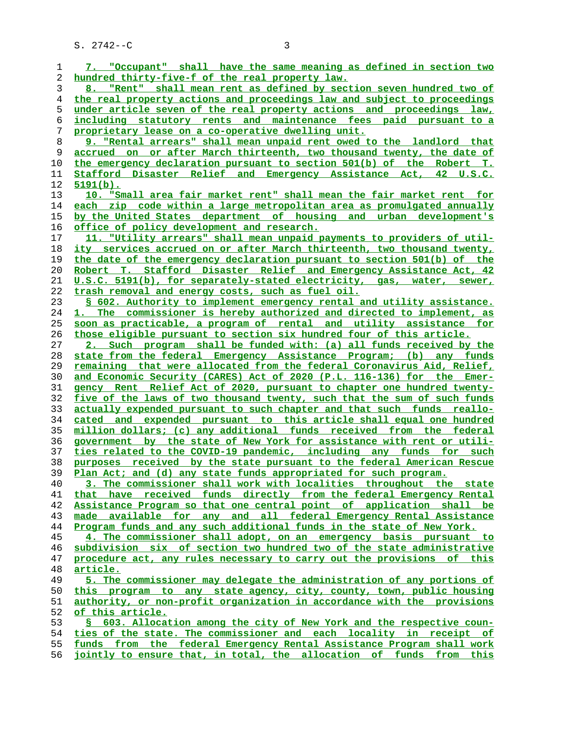| 1  | 7. "Occupant" shall have the same meaning as defined in section two           |
|----|-------------------------------------------------------------------------------|
| 2  | hundred thirty-five-f of the real property law.                               |
| 3  | 8. "Rent" shall mean rent as defined by section seven hundred two of          |
| 4  | the real property actions and proceedings law and subject to proceedings      |
| 5  | under article seven of the real property actions and proceedings law,         |
| 6  | <u>including statutory rents and maintenance fees paid pursuant to a</u>      |
| 7  | proprietary lease on a co-operative dwelling unit.                            |
| 8  | 9. "Rental arrears" shall mean unpaid rent owed to the landlord that          |
| 9  | accrued on or after March thirteenth, two thousand twenty, the date of        |
|    |                                                                               |
| 10 | the emergency declaration pursuant to section 501(b) of the Robert T.         |
| 11 | Stafford Disaster Relief and Emergency Assistance Act, 42 U.S.C.              |
| 12 | $5191(b)$ .                                                                   |
| 13 | 10. "Small area fair market rent" shall mean the fair market rent for         |
| 14 | each zip code within a large metropolitan area as promulgated annually        |
| 15 | by the United States department of housing and urban development's            |
| 16 | office of policy development and research.                                    |
| 17 | 11. "Utility arrears" shall mean unpaid payments to providers of util-        |
| 18 | ity services accrued on or after March thirteenth, two thousand twenty,       |
| 19 | the date of the emergency declaration pursuant to section 501(b) of the       |
| 20 | Robert T. Stafford Disaster Relief and Emergency Assistance Act, 42           |
| 21 | U.S.C. 5191(b), for separately-stated electricity, gas, water, sewer,         |
| 22 | trash removal and energy costs, such as fuel oil.                             |
| 23 | § 602. Authority to implement emergency rental and utility assistance.        |
| 24 | 1. The commissioner is hereby authorized and directed to implement, as        |
| 25 | soon as practicable, a program of rental and utility assistance for           |
| 26 | <u>those eligible pursuant to section six hundred four of this article.</u>   |
| 27 | 2. Such program shall be funded with: (a) all funds received by the           |
| 28 | state from the federal Emergency Assistance Program; (b) any funds            |
| 29 | remaining that were allocated from the federal Coronavirus Aid, Relief,       |
| 30 | and Economic Security (CARES) Act of 2020 (P.L. 116-136) for the Emer-        |
| 31 | gency Rent Relief Act of 2020, pursuant to chapter one hundred twenty-        |
| 32 | five of the laws of two thousand twenty, such that the sum of such funds      |
| 33 | <u>actually expended pursuant to such chapter and that such funds reallo-</u> |
|    |                                                                               |
| 34 | <u>cated and expended pursuant to this article shall equal one hundred</u>    |
| 35 | million dollars; (c) any additional funds received from the federal           |
| 36 | government by the state of New York for assistance with rent or utili-        |
| 37 | ties related to the COVID-19 pandemic, including any funds for such           |
| 38 | purposes received by the state pursuant to the federal American Rescue        |
| 39 | Plan Act; and (d) any state funds appropriated for such program.              |
| 40 | 3. The commissioner shall work with localities throughout the state           |
| 41 | that have received funds directly from the federal Emergency Rental           |
| 42 | Assistance Program so that one central point of application shall be          |
| 43 | made available for any and all federal Emergency Rental Assistance            |
| 44 | Program funds and any such additional funds in the state of New York.         |
| 45 | 4. The commissioner shall adopt, on an emergency basis pursuant to            |
| 46 | subdivision six of section two hundred two of the state administrative        |
| 47 | procedure act, any rules necessary to carry out the provisions of this        |
| 48 | <u>article.</u>                                                               |
| 49 | 5. The commissioner may delegate the administration of any portions of        |
| 50 | this program to any state agency, city, county, town, public housing          |
| 51 | authority, or non-profit organization in accordance with the provisions       |
| 52 | of this article.                                                              |
| 53 | § 603. Allocation among the city of New York and the respective coun-         |
| 54 | ties of the state. The commissioner and each locality in receipt of           |
| 55 | funds from the federal Emergency Rental Assistance Program shall work         |
| 56 | jointly to ensure that, in total, the allocation of funds from this           |
|    |                                                                               |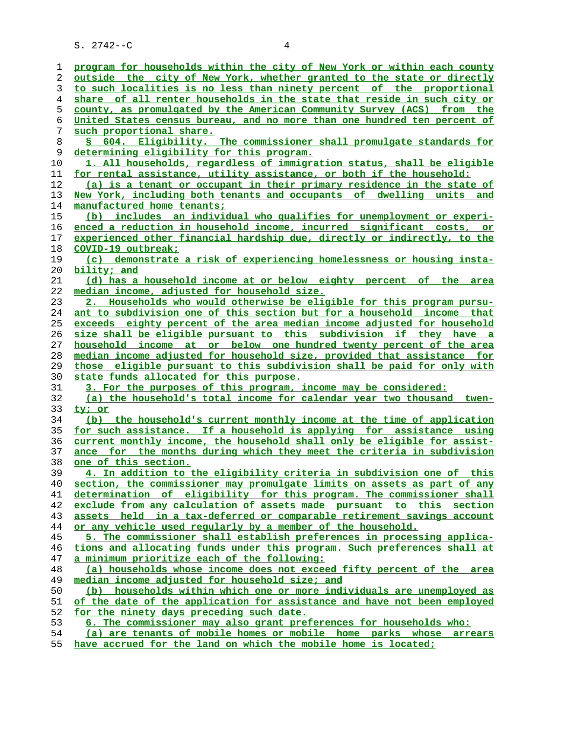| 1  | program for households within the city of New York or within each county        |
|----|---------------------------------------------------------------------------------|
| 2  | outside the city of New York, whether granted to the state or directly          |
| 3  | to such localities is no less than ninety percent of the proportional           |
| 4  | share of all renter households in the state that reside in such city or         |
| 5  | county, as promulgated by the American Community Survey (ACS) from the          |
| 6  | United States census bureau, and no more than one hundred ten percent of        |
| 7  | such proportional share.                                                        |
| 8  | § 604. Eligibility. The commissioner shall promulgate standards for             |
| 9  | determining eligibility for this program.                                       |
| 10 | 1. All households, regardless of immigration status, shall be eligible          |
| 11 | for rental assistance, utility assistance, or both if the household:            |
| 12 | (a) is a tenant or occupant in their primary residence in the state of          |
| 13 | New York, including both tenants and occupants of dwelling units and            |
| 14 | manufactured home tenants;                                                      |
| 15 | (b) includes an individual who qualifies for unemployment or experi-            |
| 16 | enced a reduction in household income, incurred significant costs, or           |
| 17 | experienced other financial hardship due, directly or indirectly, to the        |
| 18 | COVID-19 outbreak;                                                              |
| 19 | (c) demonstrate a risk of experiencing homelessness or housing insta-           |
| 20 | bility; and                                                                     |
| 21 | (d) has a household income at or below eighty percent of the area               |
|    |                                                                                 |
| 22 | median income, adjusted for household size.                                     |
| 23 | 2. Households who would otherwise be eligible for this program pursu-           |
| 24 | <u>ant to subdivision one of this section but for a household income that</u>   |
| 25 | exceeds eighty percent of the area median income adjusted for household         |
| 26 | size shall be eligible pursuant to this subdivision if they have a              |
| 27 | household income at or below one hundred twenty percent of the area             |
| 28 | median income adjusted for household size, provided that assistance for         |
| 29 | those eligible pursuant to this subdivision shall be paid for only with         |
| 30 | state funds allocated for this purpose.                                         |
| 31 | 3. For the purposes of this program, income may be considered:                  |
| 32 | (a) the household's total income for calendar year two thousand<br>twen-        |
| 33 | ty; or                                                                          |
| 34 | (b) the household's current monthly income at the time of application           |
| 35 | for such assistance. If a household is applying for assistance using            |
| 36 | <u>current monthly income, the household shall only be eligible for assist-</u> |
| 37 | ance for the months during which they meet the criteria in subdivision          |
| 38 | one of this section.                                                            |
| 39 | 4. In addition to the eligibility criteria in subdivision one of this           |
| 40 | section, the commissioner may promulgate limits on assets as part of any        |
| 41 | determination of eligibility for this program. The commissioner shall           |
| 42 | exclude from any calculation of assets made pursuant to this section            |
| 43 | assets held in a tax-deferred or comparable retirement savings account          |
| 44 | or any vehicle used reqularly by a member of the household.                     |
| 45 | 5. The commissioner shall establish preferences in processing applica-          |
| 46 | tions and allocating funds under this program. Such preferences shall at        |
| 47 | a minimum prioritize each of the following:                                     |
| 48 | (a) households whose income does not exceed fifty percent of the area           |
| 49 | median income adjusted for household size; and                                  |
| 50 | (b) households within which one or more individuals are unemployed as           |
| 51 | of the date of the application for assistance and have not been employed        |
| 52 | for the ninety days preceding such date.                                        |
| 53 | 6. The commissioner may also grant preferences for households who:              |
| 54 | (a) are tenants of mobile homes or mobile home parks whose arrears              |
| 55 | have accrued for the land on which the mobile home is located;                  |
|    |                                                                                 |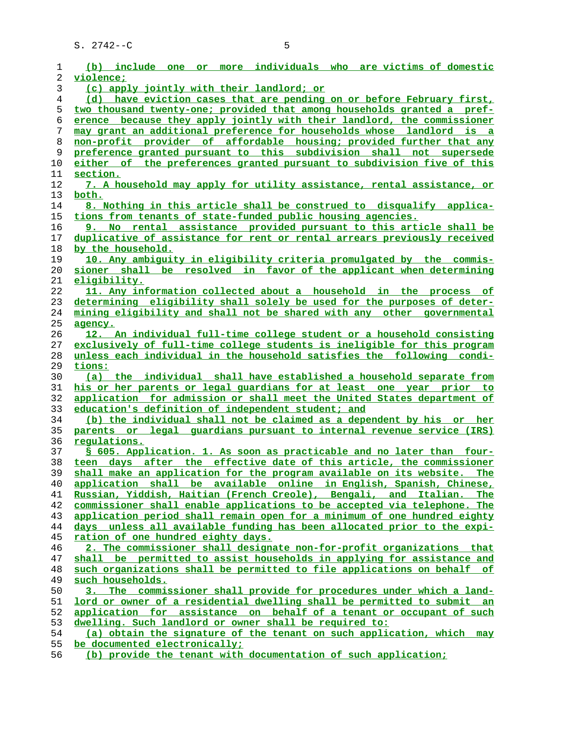| 1  | (b) include one or more individuals who are victims of domestic          |
|----|--------------------------------------------------------------------------|
| 2  | violence;                                                                |
| 3  | (c) apply jointly with their landlord; or                                |
| 4  | (d) have eviction cases that are pending on or before February first,    |
| 5  | two thousand twenty-one; provided that among households granted a pref-  |
| 6  | erence because they apply jointly with their landlord, the commissioner  |
| 7  | may grant an additional preference for households whose landlord is a    |
| 8  | non-profit provider of affordable housing; provided further that any     |
| 9  | preference granted pursuant to this subdivision shall not supersede      |
| 10 | either of the preferences granted pursuant to subdivision five of this   |
| 11 | section.                                                                 |
| 12 | 7. A household may apply for utility assistance, rental assistance, or   |
| 13 | both.                                                                    |
| 14 | 8. Nothing in this article shall be construed to disqualify applica-     |
| 15 | tions from tenants of state-funded public housing agencies.              |
| 16 | 9. No rental assistance provided pursuant to this article shall be       |
| 17 | duplicative of assistance for rent or rental arrears previously received |
| 18 | by the household.                                                        |
| 19 | 10. Any ambiguity in eligibility criteria promulgated by the commis-     |
| 20 | sioner shall be resolved in favor of the applicant when determining      |
| 21 | eligibility.                                                             |
| 22 | 11. Any information collected about a household in the process of        |
| 23 | determining eligibility shall solely be used for the purposes of deter-  |
| 24 | mining eligibility and shall not be shared with any other governmental   |
| 25 | agency.                                                                  |
| 26 | 12. An individual full-time college student or a household consisting    |
| 27 | exclusively of full-time college students is ineligible for this program |
| 28 | unless each individual in the household satisfies the following condi-   |
| 29 | tions:                                                                   |
| 30 | (a) the individual shall have established a household separate from      |
| 31 | his or her parents or legal quardians for at least one year prior to     |
| 32 | application for admission or shall meet the United States department of  |
| 33 | education's definition of independent student; and                       |
| 34 | (b) the individual shall not be claimed as a dependent by his or her     |
| 35 | parents or legal guardians pursuant to internal revenue service (IRS)    |
| 36 | regulations.                                                             |
| 37 | S 605. Application. 1. As soon as practicable and no later than four-    |
| 38 | teen days after the effective date of this article, the commissioner     |
| 39 | shall make an application for the program available on its website. The  |
| 40 | application shall be available online in English, Spanish, Chinese,      |
| 41 | Russian, Yiddish, Haitian (French Creole), Bengali, and Italian.<br>The  |
| 42 | commissioner shall enable applications to be accepted via telephone. The |
| 43 | application period shall remain open for a minimum of one hundred eighty |
| 44 | days unless all available funding has been allocated prior to the expi-  |
| 45 | ration of one hundred eighty days.                                       |
| 46 | 2. The commissioner shall designate non-for-profit organizations that    |
| 47 | shall be permitted to assist households in applying for assistance and   |
| 48 | such organizations shall be permitted to file applications on behalf of  |
| 49 | such households.                                                         |
| 50 | 3. The commissioner shall provide for procedures under which a land-     |
| 51 | lord or owner of a residential dwelling shall be permitted to submit an  |
| 52 | application for assistance on behalf of a tenant or occupant of such     |
| 53 | dwelling. Such landlord or owner shall be required to:                   |
| 54 | (a) obtain the signature of the tenant on such application, which may    |
| 55 | be documented electronically;                                            |

**(b) provide the tenant with documentation of such application;**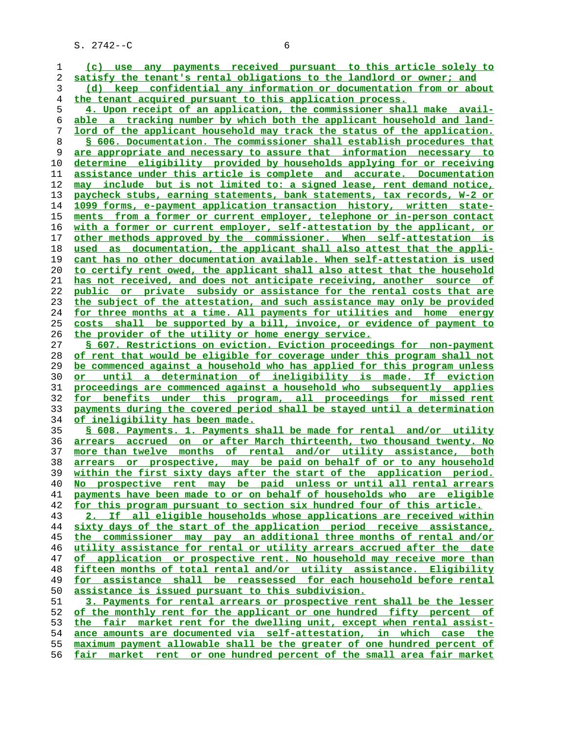**(c) use any payments received pursuant to this article solely to satisfy the tenant's rental obligations to the landlord or owner; and (d) keep confidential any information or documentation from or about the tenant acquired pursuant to this application process. 4. Upon receipt of an application, the commissioner shall make avail- able a tracking number by which both the applicant household and land- lord of the applicant household may track the status of the application. § 606. Documentation. The commissioner shall establish procedures that are appropriate and necessary to assure that information necessary to determine eligibility provided by households applying for or receiving assistance under this article is complete and accurate. Documentation may include but is not limited to: a signed lease, rent demand notice, paycheck stubs, earning statements, bank statements, tax records, W-2 or 1099 forms, e-payment application transaction history, written state- ments from a former or current employer, telephone or in-person contact with a former or current employer, self-attestation by the applicant, or other methods approved by the commissioner. When self-attestation is used as documentation, the applicant shall also attest that the appli- cant has no other documentation available. When self-attestation is used to certify rent owed, the applicant shall also attest that the household has not received, and does not anticipate receiving, another source of public or private subsidy or assistance for the rental costs that are the subject of the attestation, and such assistance may only be provided for three months at a time. All payments for utilities and home energy costs shall be supported by a bill, invoice, or evidence of payment to the provider of the utility or home energy service. § 607. Restrictions on eviction. Eviction proceedings for non-payment of rent that would be eligible for coverage under this program shall not be commenced against a household who has applied for this program unless or until a determination of ineligibility is made. If eviction proceedings are commenced against a household who subsequently applies for benefits under this program, all proceedings for missed rent payments during the covered period shall be stayed until a determination of ineligibility has been made. § 608. Payments. 1. Payments shall be made for rental and/or utility arrears accrued on or after March thirteenth, two thousand twenty. No more than twelve months of rental and/or utility assistance, both arrears or prospective, may be paid on behalf of or to any household within the first sixty days after the start of the application period. No prospective rent may be paid unless or until all rental arrears payments have been made to or on behalf of households who are eligible for this program pursuant to section six hundred four of this article. 2. If all eligible households whose applications are received within sixty days of the start of the application period receive assistance, the commissioner may pay an additional three months of rental and/or utility assistance for rental or utility arrears accrued after the date of application or prospective rent. No household may receive more than fifteen months of total rental and/or utility assistance. Eligibility for assistance shall be reassessed for each household before rental assistance is issued pursuant to this subdivision. 3. Payments for rental arrears or prospective rent shall be the lesser of the monthly rent for the applicant or one hundred fifty percent of the fair market rent for the dwelling unit, except when rental assist- ance amounts are documented via self-attestation, in which case the maximum payment allowable shall be the greater of one hundred percent of fair market rent or one hundred percent of the small area fair market**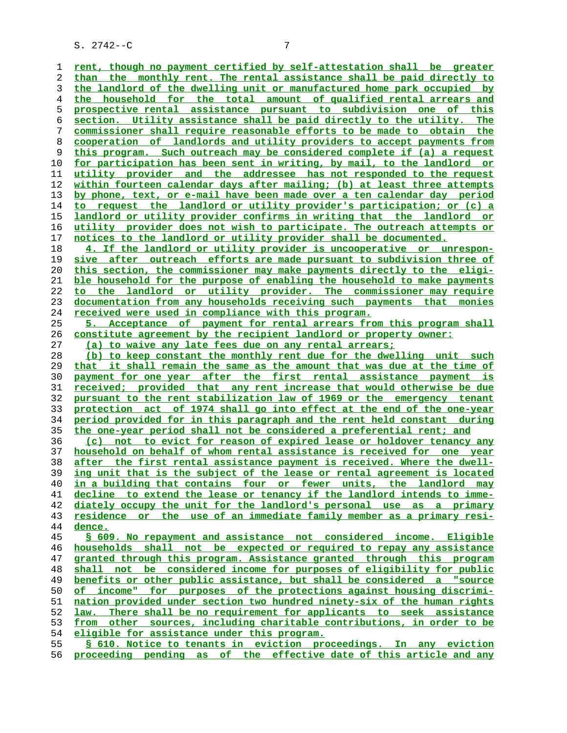**rent, though no payment certified by self-attestation shall be greater than the monthly rent. The rental assistance shall be paid directly to the landlord of the dwelling unit or manufactured home park occupied by the household for the total amount of qualified rental arrears and prospective rental assistance pursuant to subdivision one of this section. Utility assistance shall be paid directly to the utility. The commissioner shall require reasonable efforts to be made to obtain the cooperation of landlords and utility providers to accept payments from this program. Such outreach may be considered complete if (a) a request for participation has been sent in writing, by mail, to the landlord or utility provider and the addressee has not responded to the request within fourteen calendar days after mailing; (b) at least three attempts by phone, text, or e-mail have been made over a ten calendar day period to request the landlord or utility provider's participation; or (c) a landlord or utility provider confirms in writing that the landlord or utility provider does not wish to participate. The outreach attempts or notices to the landlord or utility provider shall be documented. 4. If the landlord or utility provider is uncooperative or unrespon- sive after outreach efforts are made pursuant to subdivision three of this section, the commissioner may make payments directly to the eligi- ble household for the purpose of enabling the household to make payments to the landlord or utility provider. The commissioner may require documentation from any households receiving such payments that monies received were used in compliance with this program. 5. Acceptance of payment for rental arrears from this program shall constitute agreement by the recipient landlord or property owner: (a) to waive any late fees due on any rental arrears; (b) to keep constant the monthly rent due for the dwelling unit such that it shall remain the same as the amount that was due at the time of payment for one year after the first rental assistance payment is received; provided that any rent increase that would otherwise be due pursuant to the rent stabilization law of 1969 or the emergency tenant protection act of 1974 shall go into effect at the end of the one-year period provided for in this paragraph and the rent held constant during the one-year period shall not be considered a preferential rent; and (c) not to evict for reason of expired lease or holdover tenancy any household on behalf of whom rental assistance is received for one year after the first rental assistance payment is received. Where the dwell- ing unit that is the subject of the lease or rental agreement is located in a building that contains four or fewer units, the landlord may decline to extend the lease or tenancy if the landlord intends to imme- diately occupy the unit for the landlord's personal use as a primary residence or the use of an immediate family member as a primary resi- dence. § 609. No repayment and assistance not considered income. Eligible households shall not be expected or required to repay any assistance granted through this program. Assistance granted through this program shall not be considered income for purposes of eligibility for public benefits or other public assistance, but shall be considered a "source of income" for purposes of the protections against housing discrimi- nation provided under section two hundred ninety-six of the human rights law. There shall be no requirement for applicants to seek assistance from other sources, including charitable contributions, in order to be eligible for assistance under this program. § 610. Notice to tenants in eviction proceedings. In any eviction proceeding pending as of the effective date of this article and any**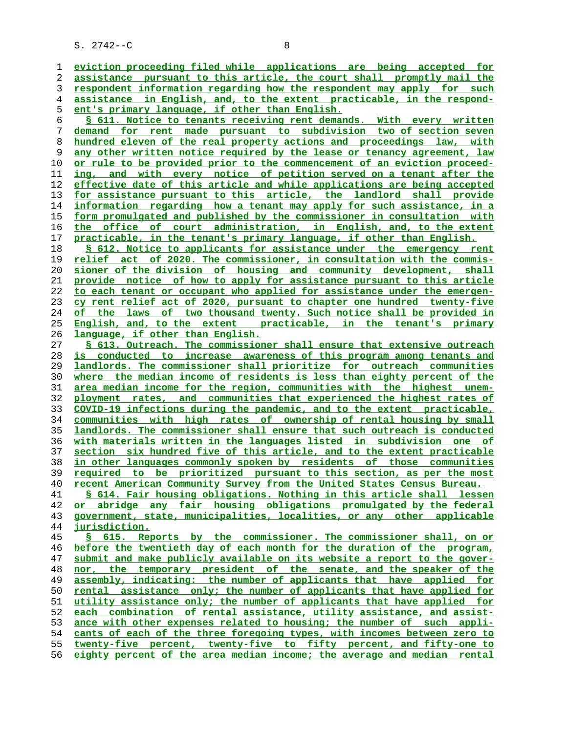**eviction proceeding filed while applications are being accepted for assistance pursuant to this article, the court shall promptly mail the respondent information regarding how the respondent may apply for such assistance in English, and, to the extent practicable, in the respond- ent's primary language, if other than English. § 611. Notice to tenants receiving rent demands. With every written demand for rent made pursuant to subdivision two of section seven hundred eleven of the real property actions and proceedings law, with any other written notice required by the lease or tenancy agreement, law or rule to be provided prior to the commencement of an eviction proceed- ing, and with every notice of petition served on a tenant after the effective date of this article and while applications are being accepted for assistance pursuant to this article, the landlord shall provide** information regarding how a tenant may apply for such assistance, in a **form promulgated and published by the commissioner in consultation with the office of court administration, in English, and, to the extent practicable, in the tenant's primary language, if other than English. § 612. Notice to applicants for assistance under the emergency rent relief act of 2020. The commissioner, in consultation with the commis- sioner of the division of housing and community development, shall provide notice of how to apply for assistance pursuant to this article to each tenant or occupant who applied for assistance under the emergen- cy rent relief act of 2020, pursuant to chapter one hundred twenty-five of the laws of two thousand twenty. Such notice shall be provided in English, and, to the extent practicable, in the tenant's primary language, if other than English. § 613. Outreach. The commissioner shall ensure that extensive outreach is conducted to increase awareness of this program among tenants and landlords. The commissioner shall prioritize for outreach communities where the median income of residents is less than eighty percent of the area median income for the region, communities with the highest unem- ployment rates, and communities that experienced the highest rates of COVID-19 infections during the pandemic, and to the extent practicable, communities with high rates of ownership of rental housing by small landlords. The commissioner shall ensure that such outreach is conducted with materials written in the languages listed in subdivision one of section six hundred five of this article, and to the extent practicable in other languages commonly spoken by residents of those communities required to be prioritized pursuant to this section, as per the most recent American Community Survey from the United States Census Bureau. § 614. Fair housing obligations. Nothing in this article shall lessen or abridge any fair housing obligations promulgated by the federal government, state, municipalities, localities, or any other applicable jurisdiction. § 615. Reports by the commissioner. The commissioner shall, on or before the twentieth day of each month for the duration of the program, submit and make publicly available on its website a report to the gover- nor, the temporary president of the senate, and the speaker of the assembly, indicating: the number of applicants that have applied for rental assistance only; the number of applicants that have applied for utility assistance only; the number of applicants that have applied for each combination of rental assistance, utility assistance, and assist- ance with other expenses related to housing; the number of such appli- cants of each of the three foregoing types, with incomes between zero to twenty-five percent, twenty-five to fifty percent, and fifty-one to eighty percent of the area median income; the average and median rental**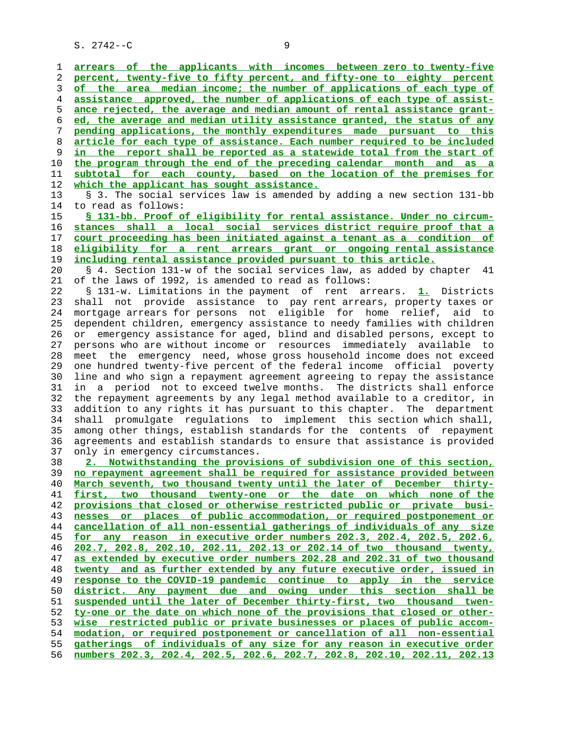**arrears of the applicants with incomes between zero to twenty-five percent, twenty-five to fifty percent, and fifty-one to eighty percent of the area median income; the number of applications of each type of assistance approved, the number of applications of each type of assist- ance rejected, the average and median amount of rental assistance grant- ed, the average and median utility assistance granted, the status of any pending applications, the monthly expenditures made pursuant to this article for each type of assistance. Each number required to be included** in the report shall be reported as a statewide total from the start of **the program through the end of the preceding calendar month and as a subtotal for each county, based on the location of the premises for which the applicant has sought assistance.** 13 § 3. The social services law is amended by adding a new section 131-bb 14 to read as follows: **§ 131-bb. Proof of eligibility for rental assistance. Under no circum- stances shall a local social services district require proof that a court proceeding has been initiated against a tenant as a condition of eligibility for a rent arrears grant or ongoing rental assistance including rental assistance provided pursuant to this article.** 20 § 4. Section 131-w of the social services law, as added by chapter 41 21 of the laws of 1992, is amended to read as follows: 22 § 131-w. Limitations in the payment of rent arrears. **1.** Districts 23 shall not provide assistance to pay rent arrears, property taxes or 24 mortgage arrears for persons not eligible for home relief, aid to 25 dependent children, emergency assistance to needy families with children 26 or emergency assistance for aged, blind and disabled persons, except to 27 persons who are without income or resources immediately available to 28 meet the emergency need, whose gross household income does not exceed 29 one hundred twenty-five percent of the federal income official poverty 30 line and who sign a repayment agreement agreeing to repay the assistance 31 in a period not to exceed twelve months. The districts shall enforce 32 the repayment agreements by any legal method available to a creditor, in 33 addition to any rights it has pursuant to this chapter. The department 34 shall promulgate regulations to implement this section which shall, 35 among other things, establish standards for the contents of repayment 36 agreements and establish standards to ensure that assistance is provided 37 only in emergency circumstances. **2. Notwithstanding the provisions of subdivision one of this section, no repayment agreement shall be required for assistance provided between March seventh, two thousand twenty until the later of December thirty- first, two thousand twenty-one or the date on which none of the provisions that closed or otherwise restricted public or private busi- nesses or places of public accommodation, or required postponement or cancellation of all non-essential gatherings of individuals of any size for any reason in executive order numbers 202.3, 202.4, 202.5, 202.6, 202.7, 202.8, 202.10, 202.11, 202.13 or 202.14 of two thousand twenty, as extended by executive order numbers 202.28 and 202.31 of two thousand twenty and as further extended by any future executive order, issued in response to the COVID-19 pandemic continue to apply in the service district. Any payment due and owing under this section shall be suspended until the later of December thirty-first, two thousand twen- ty-one or the date on which none of the provisions that closed or other- wise restricted public or private businesses or places of public accom- modation, or required postponement or cancellation of all non-essential gatherings of individuals of any size for any reason in executive order numbers 202.3, 202.4, 202.5, 202.6, 202.7, 202.8, 202.10, 202.11, 202.13**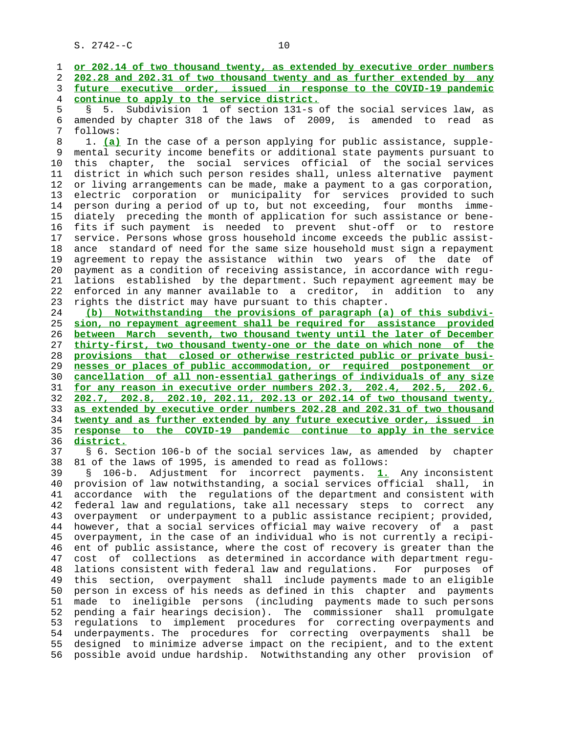1 **or 202.14 of two thousand twenty, as extended by executive order numbers** 2 **202.28 and 202.31 of two thousand twenty and as further extended by any** 3 **future executive order, issued in response to the COVID-19 pandemic** 4 **continue to apply to the service district.** 5 § 5. Subdivision 1 of section 131-s of the social services law, as 6 amended by chapter 318 of the laws of 2009, is amended to read as follows: 8 1. **(a)** In the case of a person applying for public assistance, supple mental security income benefits or additional state payments pursuant to 10 this chapter, the social services official of the social services 11 district in which such person resides shall, unless alternative payment 12 or living arrangements can be made, make a payment to a gas corporation, 13 electric corporation or municipality for services provided to such 14 person during a period of up to, but not exceeding, four months imme- 15 diately preceding the month of application for such assistance or bene- 16 fits if such payment is needed to prevent shut-off or to restore 17 service. Persons whose gross household income exceeds the public assist- 18 ance standard of need for the same size household must sign a repayment 19 agreement to repay the assistance within two years of the date of 20 payment as a condition of receiving assistance, in accordance with regu- 21 lations established by the department. Such repayment agreement may be 22 enforced in any manner available to a creditor, in addition to any 23 rights the district may have pursuant to this chapter. 24 **(b) Notwithstanding the provisions of paragraph (a) of this subdivi-** 25 **sion, no repayment agreement shall be required for assistance provided** 26 **between March seventh, two thousand twenty until the later of December** 27 **thirty-first, two thousand twenty-one or the date on which none of the** 28 **provisions that closed or otherwise restricted public or private busi-** 29 **nesses or places of public accommodation, or required postponement or** 30 **cancellation of all non-essential gatherings of individuals of any size** 31 **for any reason in executive order numbers 202.3, 202.4, 202.5, 202.6,** 32 **202.7, 202.8, 202.10, 202.11, 202.13 or 202.14 of two thousand twenty,** 33 **as extended by executive order numbers 202.28 and 202.31 of two thousand** 34 **twenty and as further extended by any future executive order, issued in** 35 **response to the COVID-19 pandemic continue to apply in the service** 36 **district.** 37 § 6. Section 106-b of the social services law, as amended by chapter 38 81 of the laws of 1995, is amended to read as follows: 39 § 106-b. Adjustment for incorrect payments. **1.** Any inconsistent 40 provision of law notwithstanding, a social services official shall, in 41 accordance with the regulations of the department and consistent with 42 federal law and regulations, take all necessary steps to correct any 43 overpayment or underpayment to a public assistance recipient; provided, 44 however, that a social services official may waive recovery of a past 45 overpayment, in the case of an individual who is not currently a recipi- 46 ent of public assistance, where the cost of recovery is greater than the 47 cost of collections as determined in accordance with department regu- 48 lations consistent with federal law and regulations. For purposes of 49 this section, overpayment shall include payments made to an eligible 50 person in excess of his needs as defined in this chapter and payments 51 made to ineligible persons (including payments made to such persons 52 pending a fair hearings decision). The commissioner shall promulgate 53 regulations to implement procedures for correcting overpayments and 54 underpayments. The procedures for correcting overpayments shall be 55 designed to minimize adverse impact on the recipient, and to the extent 56 possible avoid undue hardship. Notwithstanding any other provision of